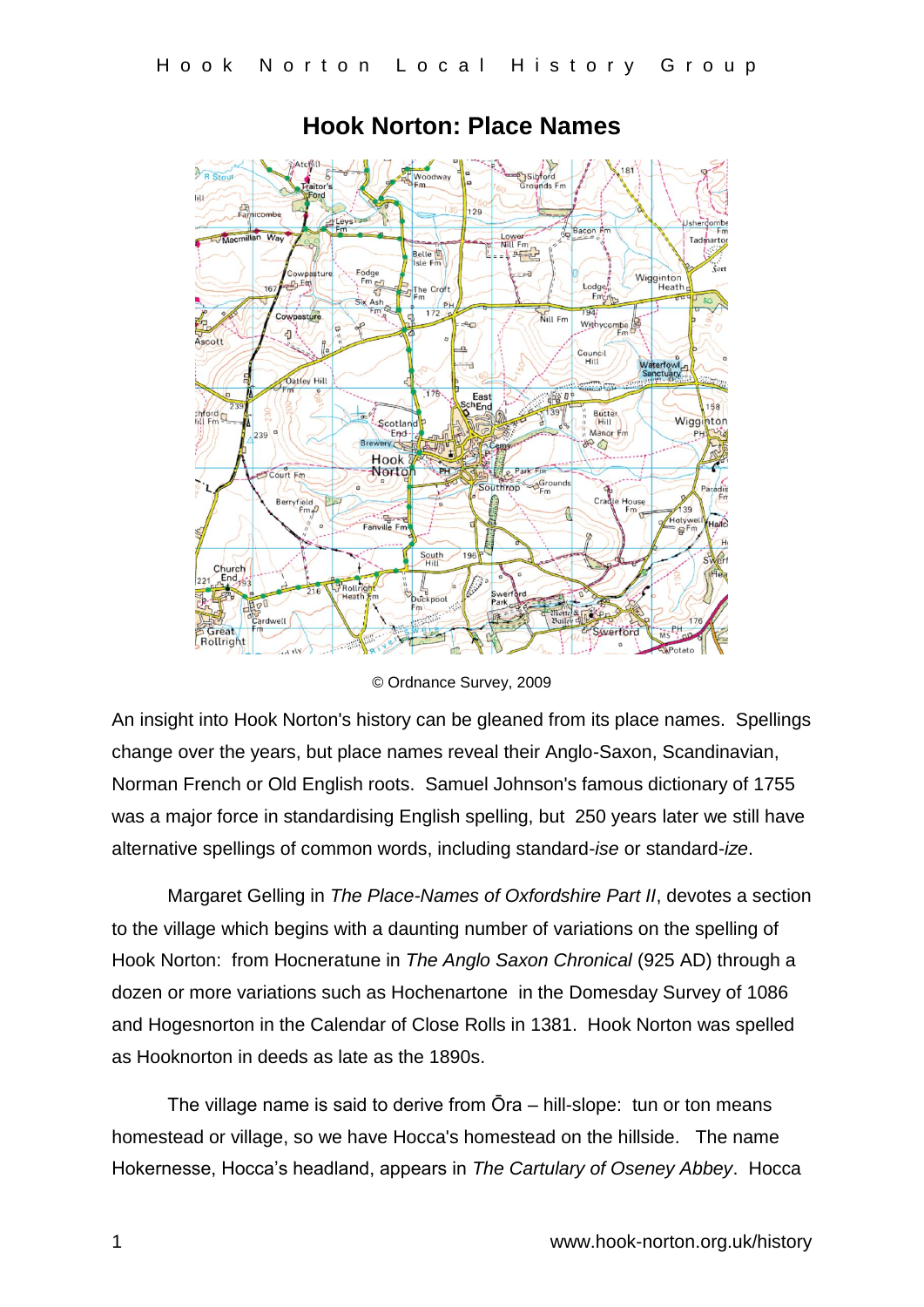

## **Hook Norton: Place Names**

© Ordnance Survey, 2009

An insight into Hook Norton's history can be gleaned from its place names. Spellings change over the years, but place names reveal their Anglo-Saxon, Scandinavian, Norman French or Old English roots. Samuel Johnson's famous dictionary of 1755 was a major force in standardising English spelling, but 250 years later we still have alternative spellings of common words, including standard-*ise* or standard-*ize*.

Margaret Gelling in *The Place-Names of Oxfordshire Part II*, devotes a section to the village which begins with a daunting number of variations on the spelling of Hook Norton: from Hocneratune in *The Anglo Saxon Chronical* (925 AD) through a dozen or more variations such as Hochenartone in the Domesday Survey of 1086 and Hogesnorton in the Calendar of Close Rolls in 1381. Hook Norton was spelled as Hooknorton in deeds as late as the 1890s.

The village name is said to derive from Ōra – hill-slope: tun or ton means homestead or village, so we have Hocca's homestead on the hillside. The name Hokernesse, Hocca's headland, appears in *The Cartulary of Oseney Abbey*. Hocca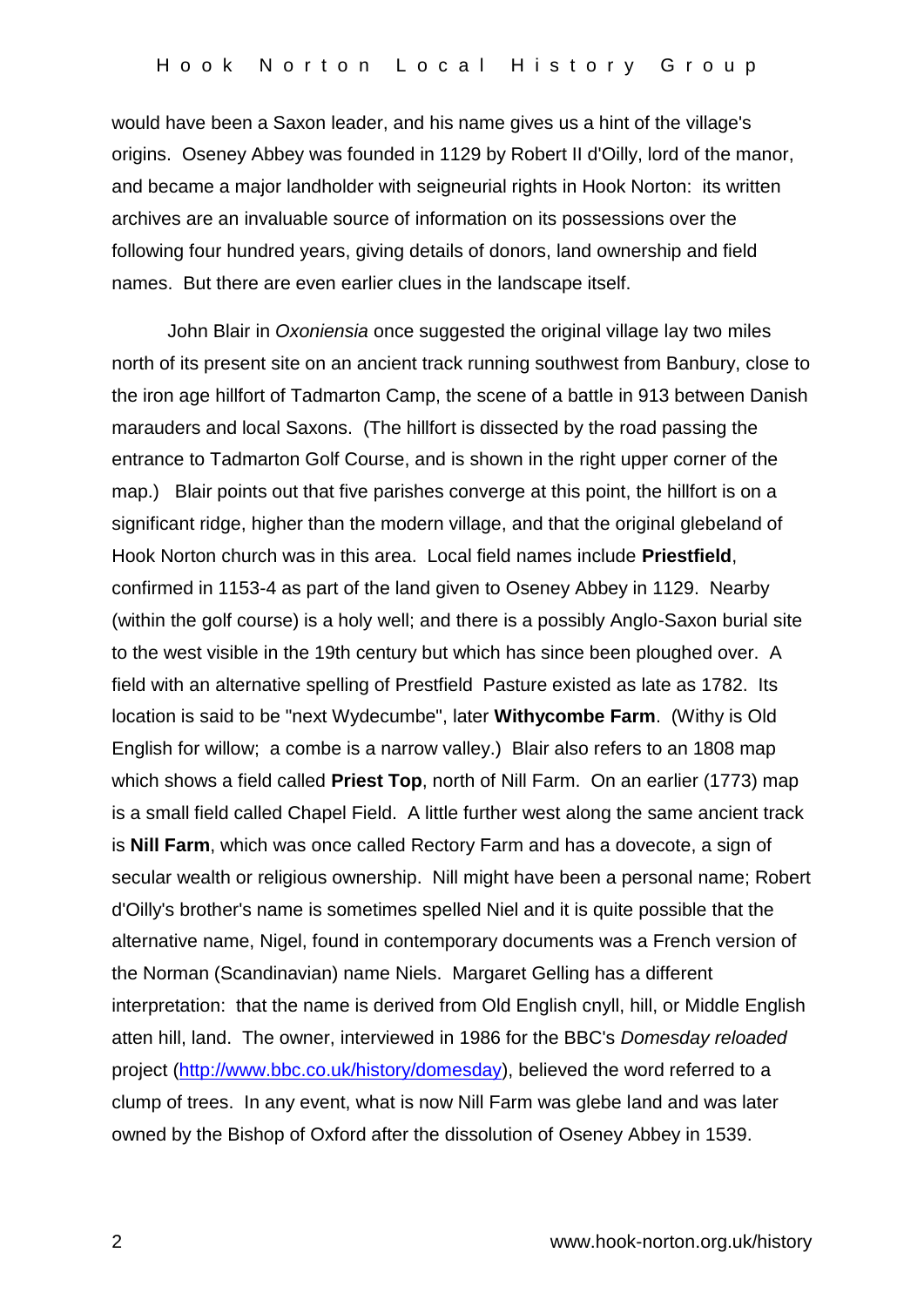would have been a Saxon leader, and his name gives us a hint of the village's origins. Oseney Abbey was founded in 1129 by Robert II d'Oilly, lord of the manor, and became a major landholder with seigneurial rights in Hook Norton: its written archives are an invaluable source of information on its possessions over the following four hundred years, giving details of donors, land ownership and field names. But there are even earlier clues in the landscape itself.

John Blair in *Oxoniensia* once suggested the original village lay two miles north of its present site on an ancient track running southwest from Banbury, close to the iron age hillfort of Tadmarton Camp, the scene of a battle in 913 between Danish marauders and local Saxons. (The hillfort is dissected by the road passing the entrance to Tadmarton Golf Course, and is shown in the right upper corner of the map.) Blair points out that five parishes converge at this point, the hillfort is on a significant ridge, higher than the modern village, and that the original glebeland of Hook Norton church was in this area. Local field names include **Priestfield**, confirmed in 1153-4 as part of the land given to Oseney Abbey in 1129. Nearby (within the golf course) is a holy well; and there is a possibly Anglo-Saxon burial site to the west visible in the 19th century but which has since been ploughed over. A field with an alternative spelling of Prestfield Pasture existed as late as 1782. Its location is said to be "next Wydecumbe", later **Withycombe Farm**. (Withy is Old English for willow; a combe is a narrow valley.) Blair also refers to an 1808 map which shows a field called **Priest Top**, north of Nill Farm. On an earlier (1773) map is a small field called Chapel Field. A little further west along the same ancient track is **Nill Farm**, which was once called Rectory Farm and has a dovecote, a sign of secular wealth or religious ownership. Nill might have been a personal name; Robert d'Oilly's brother's name is sometimes spelled Niel and it is quite possible that the alternative name, Nigel, found in contemporary documents was a French version of the Norman (Scandinavian) name Niels. Margaret Gelling has a different interpretation: that the name is derived from Old English cnyll, hill, or Middle English atten hill, land. The owner, interviewed in 1986 for the BBC's *Domesday reloaded* project [\(http://www.bbc.co.uk/history/domesday\)](http://www.bbc.co.uk/history/domesday), believed the word referred to a clump of trees. In any event, what is now Nill Farm was glebe land and was later owned by the Bishop of Oxford after the dissolution of Oseney Abbey in 1539.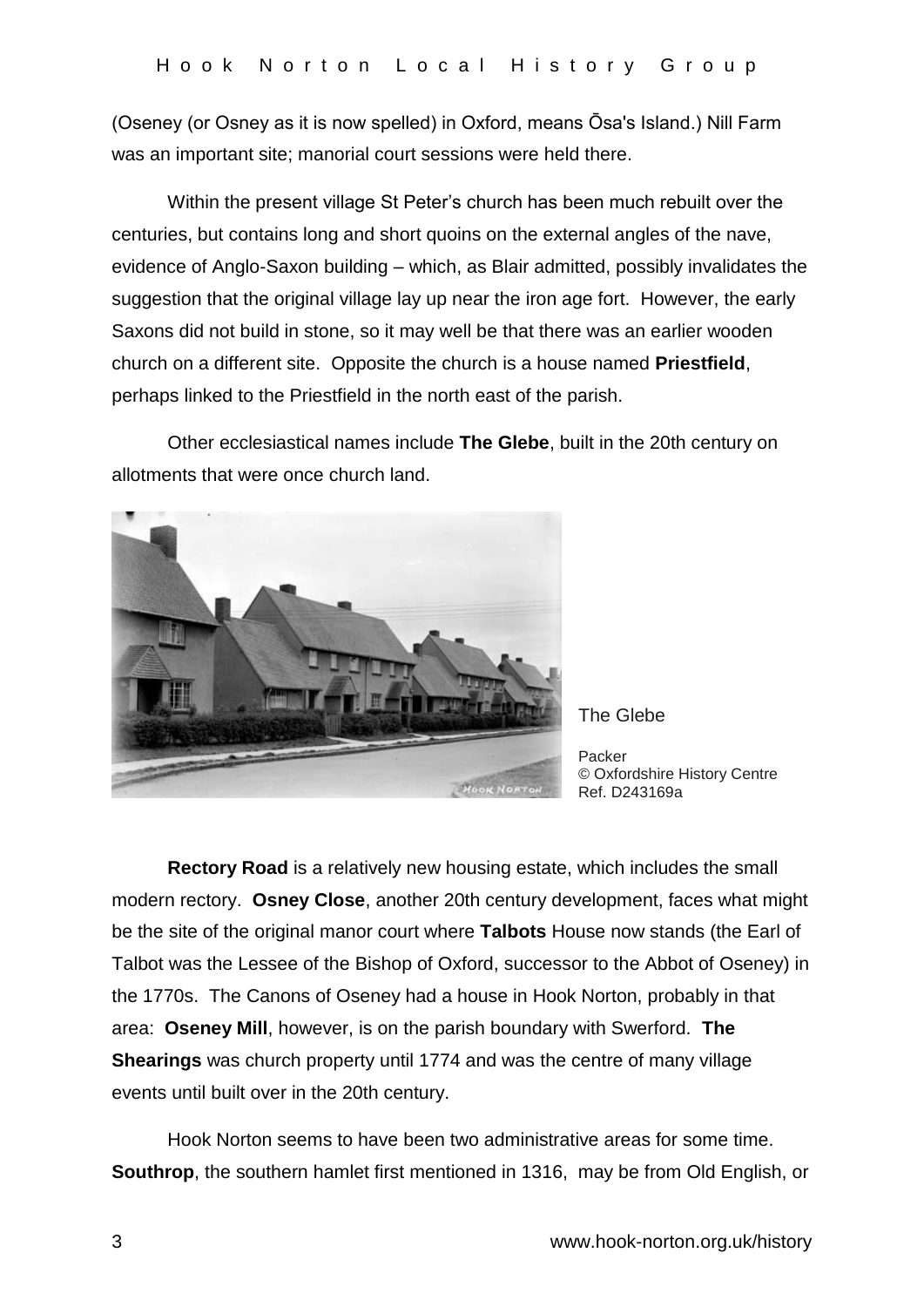(Oseney (or Osney as it is now spelled) in Oxford, means Ōsa's Island.) Nill Farm was an important site; manorial court sessions were held there.

Within the present village St Peter's church has been much rebuilt over the centuries, but contains long and short quoins on the external angles of the nave, evidence of Anglo-Saxon building – which, as Blair admitted, possibly invalidates the suggestion that the original village lay up near the iron age fort. However, the early Saxons did not build in stone, so it may well be that there was an earlier wooden church on a different site. Opposite the church is a house named **Priestfield**, perhaps linked to the Priestfield in the north east of the parish.

Other ecclesiastical names include **The Glebe**, built in the 20th century on allotments that were once church land.



The Glebe

Packer © Oxfordshire History Centre Ref. D243169a

 **Rectory Road** is a relatively new housing estate, which includes the small modern rectory. **Osney Close**, another 20th century development, faces what might be the site of the original manor court where **Talbots** House now stands (the Earl of Talbot was the Lessee of the Bishop of Oxford, successor to the Abbot of Oseney) in the 1770s. The Canons of Oseney had a house in Hook Norton, probably in that area: **Oseney Mill**, however, is on the parish boundary with Swerford. **The Shearings** was church property until 1774 and was the centre of many village events until built over in the 20th century.

Hook Norton seems to have been two administrative areas for some time. **Southrop**, the southern hamlet first mentioned in 1316, may be from Old English, or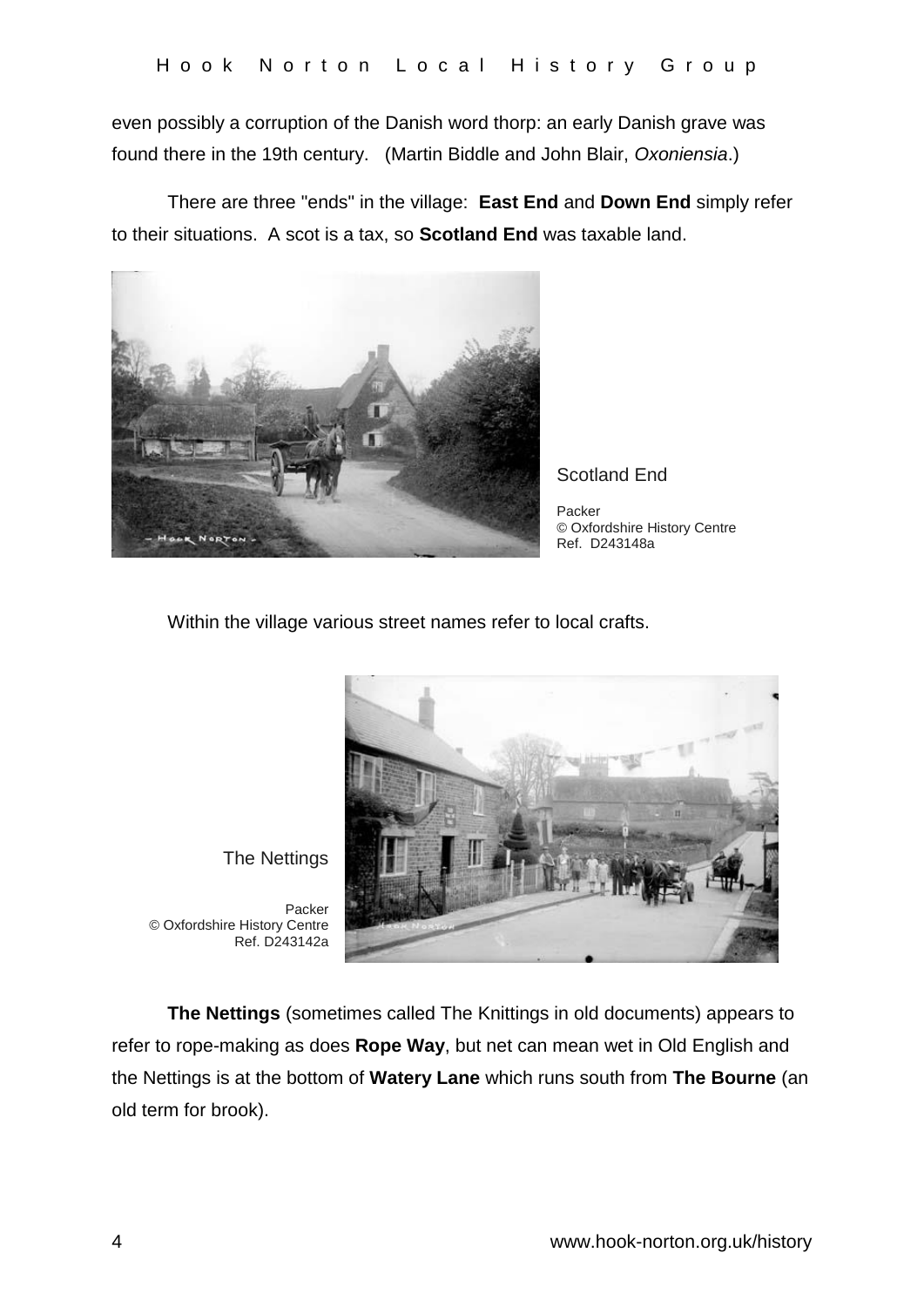even possibly a corruption of the Danish word thorp: an early Danish grave was found there in the 19th century. (Martin Biddle and John Blair, *Oxoniensia*.)

There are three "ends" in the village: **East End** and **Down End** simply refer to their situations. A scot is a tax, so **Scotland End** was taxable land.



Scotland End

Packer © Oxfordshire History Centre Ref. D243148a

Within the village various street names refer to local crafts.



The Nettings

Packer © Oxfordshire History Centre Ref. D243142a

**The Nettings** (sometimes called The Knittings in old documents) appears to refer to rope-making as does **Rope Way**, but net can mean wet in Old English and the Nettings is at the bottom of **Watery Lane** which runs south from **The Bourne** (an old term for brook).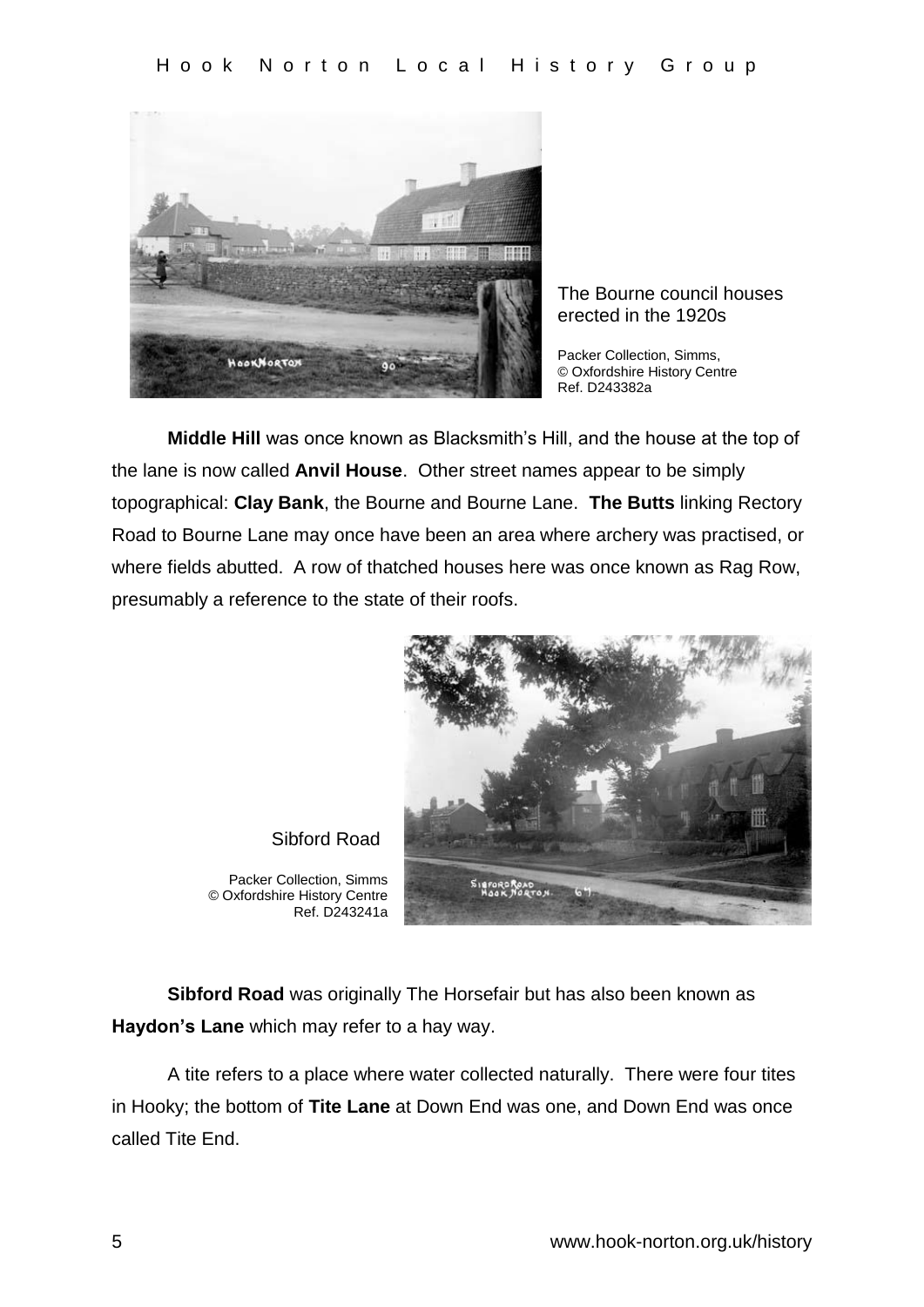

The Bourne council houses erected in the 1920s

Packer Collection, Simms, © Oxfordshire History Centre Ref. D243382a

**Middle Hill** was once known as Blacksmith's Hill, and the house at the top of the lane is now called **Anvil House**. Other street names appear to be simply topographical: **Clay Bank**, the Bourne and Bourne Lane. **The Butts** linking Rectory Road to Bourne Lane may once have been an area where archery was practised, or where fields abutted. A row of thatched houses here was once known as Rag Row, presumably a reference to the state of their roofs.



Sibford Road

Packer Collection, Simms © Oxfordshire History Centre Ref. D243241a

**Sibford Road** was originally The Horsefair but has also been known as **Haydon's Lane** which may refer to a hay way.

A tite refers to a place where water collected naturally. There were four tites in Hooky; the bottom of **Tite Lane** at Down End was one, and Down End was once called Tite End.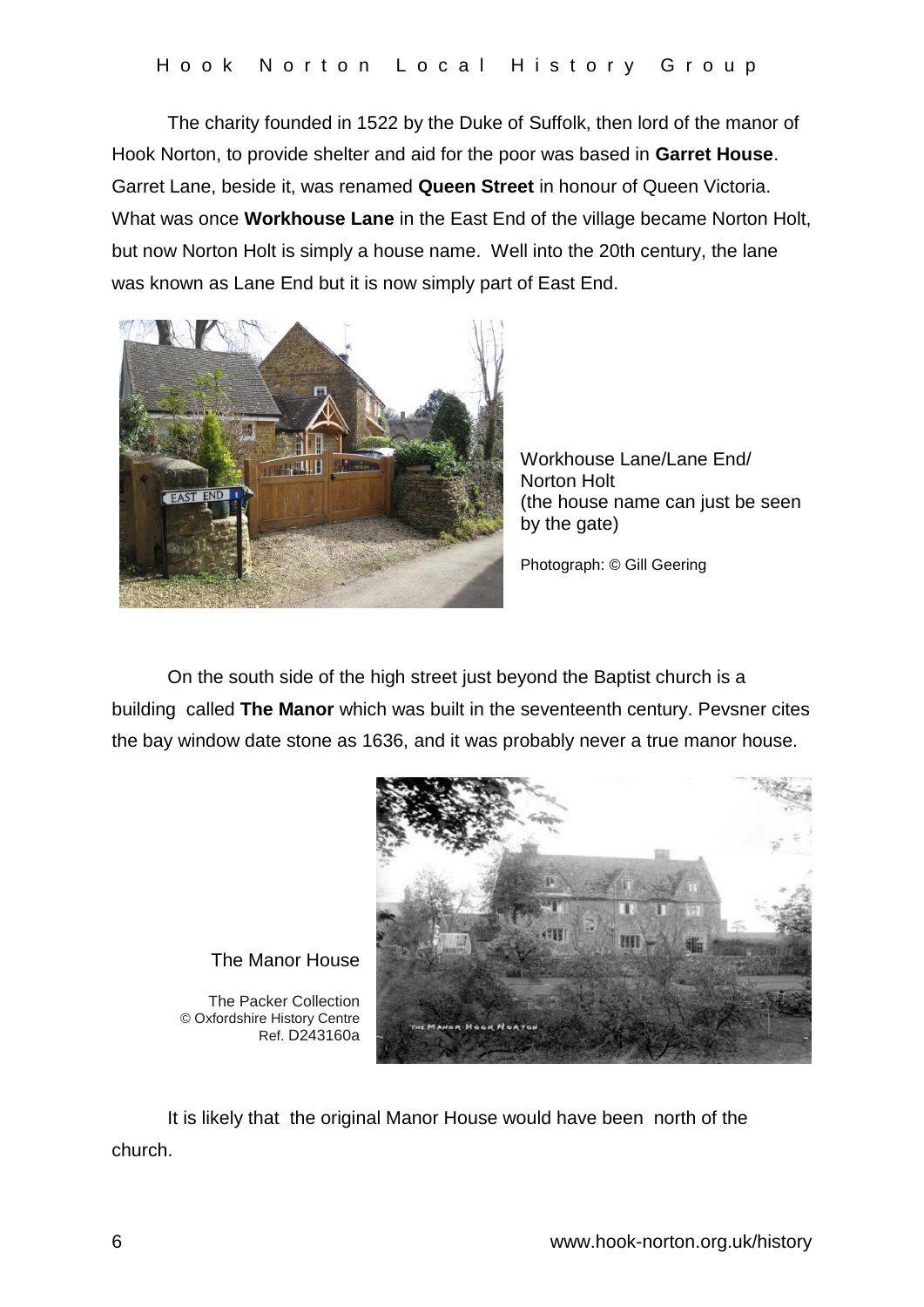The charity founded in 1522 by the Duke of Suffolk, then lord of the manor of Hook Norton, to provide shelter and aid for the poor was based in **Garret House**. Garret Lane, beside it, was renamed **Queen Street** in honour of Queen Victoria. What was once **Workhouse Lane** in the East End of the village became Norton Holt, but now Norton Holt is simply a house name. Well into the 20th century, the lane was known as Lane End but it is now simply part of East End.



Workhouse Lane/Lane End/ Norton Holt (the house name can just be seen by the gate)

Photograph: © Gill Geering

On the south side of the high street just beyond the Baptist church is a building called **The Manor** which was built in the seventeenth century. Pevsner cites the bay window date stone as 1636, and it was probably never a true manor house.



The Manor House

The Packer Collection © Oxfordshire History Centre Ref. D243160a

It is likely that the original Manor House would have been north of the church.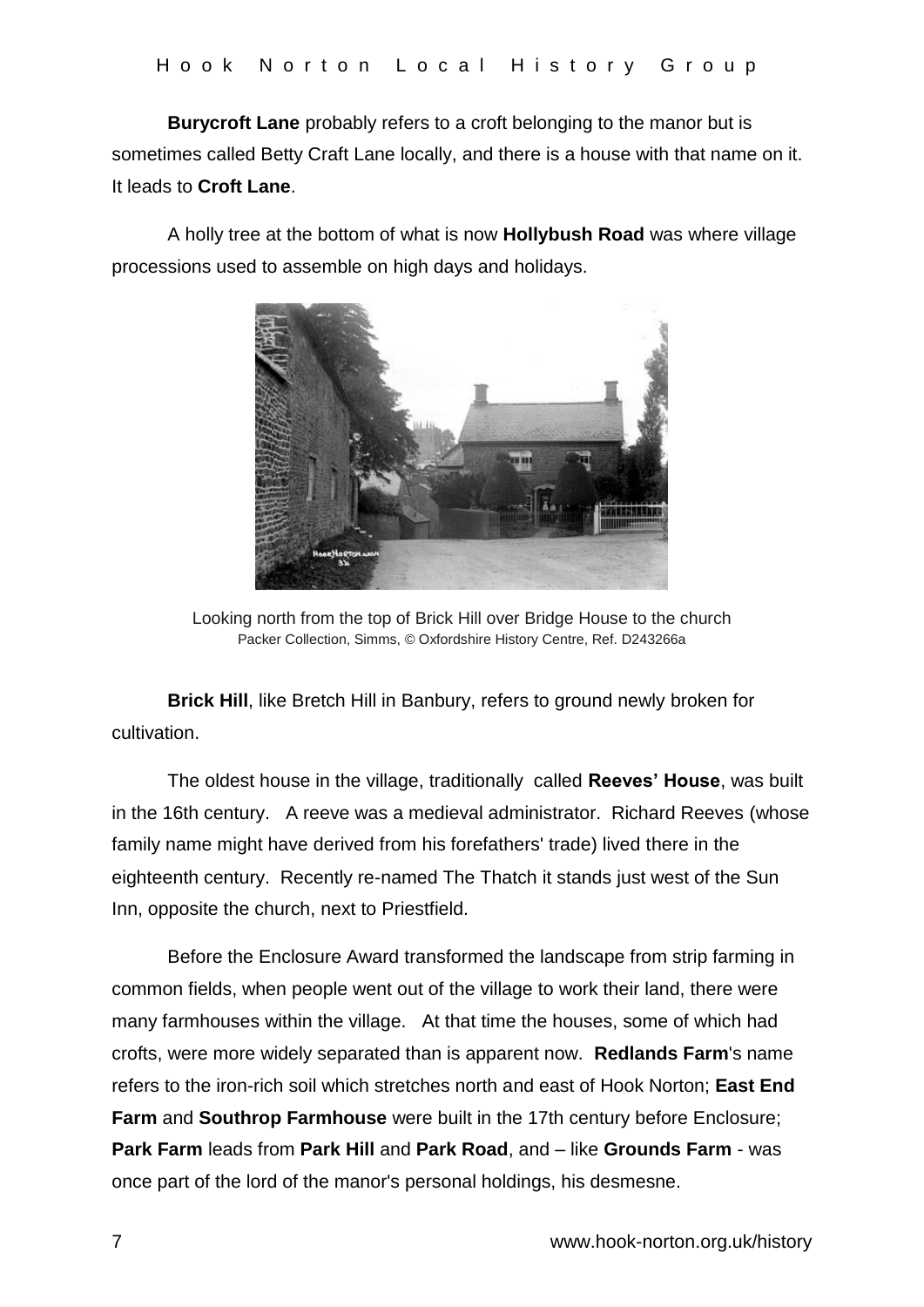**Burycroft Lane** probably refers to a croft belonging to the manor but is sometimes called Betty Craft Lane locally, and there is a house with that name on it. It leads to **Croft Lane**.

A holly tree at the bottom of what is now **Hollybush Road** was where village processions used to assemble on high days and holidays.



Looking north from the top of Brick Hill over Bridge House to the church Packer Collection, Simms, © Oxfordshire History Centre, Ref. D243266a

**Brick Hill**, like Bretch Hill in Banbury, refers to ground newly broken for cultivation.

The oldest house in the village, traditionally called **Reeves' House**, was built in the 16th century. A reeve was a medieval administrator. Richard Reeves (whose family name might have derived from his forefathers' trade) lived there in the eighteenth century. Recently re-named The Thatch it stands just west of the Sun Inn, opposite the church, next to Priestfield.

Before the Enclosure Award transformed the landscape from strip farming in common fields, when people went out of the village to work their land, there were many farmhouses within the village. At that time the houses, some of which had crofts, were more widely separated than is apparent now. **Redlands Farm**'s name refers to the iron-rich soil which stretches north and east of Hook Norton; **East End Farm** and **Southrop Farmhouse** were built in the 17th century before Enclosure; **Park Farm** leads from **Park Hill** and **Park Road**, and – like **Grounds Farm** - was once part of the lord of the manor's personal holdings, his desmesne.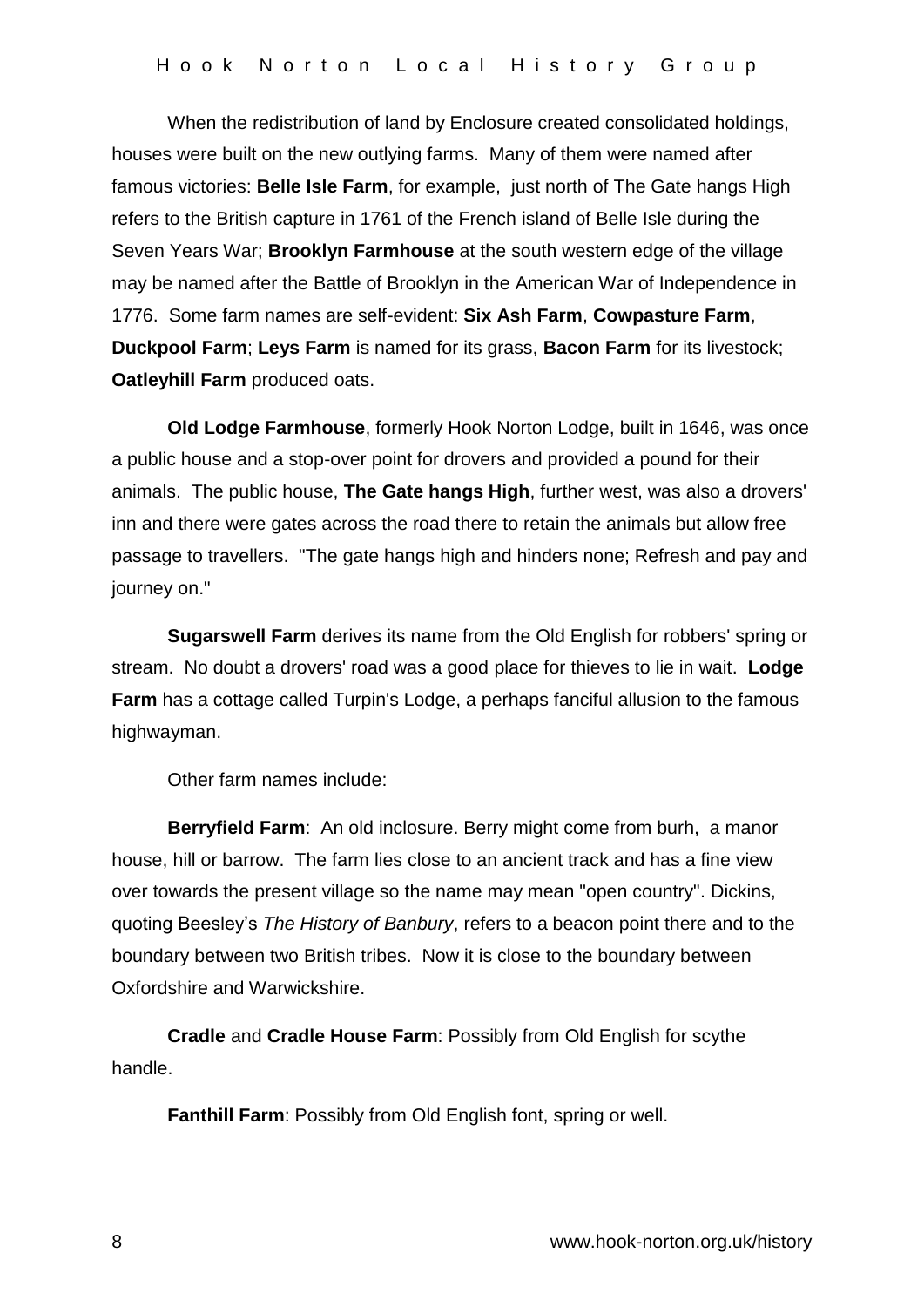When the redistribution of land by Enclosure created consolidated holdings, houses were built on the new outlying farms. Many of them were named after famous victories: **Belle Isle Farm**, for example, just north of The Gate hangs High refers to the British capture in 1761 of the French island of Belle Isle during the Seven Years War; **Brooklyn Farmhouse** at the south western edge of the village may be named after the Battle of Brooklyn in the American War of Independence in 1776. Some farm names are self-evident: **Six Ash Farm**, **Cowpasture Farm**, **Duckpool Farm**; **Leys Farm** is named for its grass, **Bacon Farm** for its livestock; **Oatleyhill Farm** produced oats.

**Old Lodge Farmhouse**, formerly Hook Norton Lodge, built in 1646, was once a public house and a stop-over point for drovers and provided a pound for their animals. The public house, **The Gate hangs High**, further west, was also a drovers' inn and there were gates across the road there to retain the animals but allow free passage to travellers. "The gate hangs high and hinders none; Refresh and pay and journey on."

**Sugarswell Farm** derives its name from the Old English for robbers' spring or stream. No doubt a drovers' road was a good place for thieves to lie in wait. **Lodge Farm** has a cottage called Turpin's Lodge, a perhaps fanciful allusion to the famous highwayman.

Other farm names include:

**Berryfield Farm**: An old inclosure. Berry might come from burh, a manor house, hill or barrow. The farm lies close to an ancient track and has a fine view over towards the present village so the name may mean "open country". Dickins, quoting Beesley's *The History of Banbury*, refers to a beacon point there and to the boundary between two British tribes. Now it is close to the boundary between Oxfordshire and Warwickshire.

**Cradle** and **Cradle House Farm**: Possibly from Old English for scythe handle.

**Fanthill Farm**: Possibly from Old English font, spring or well.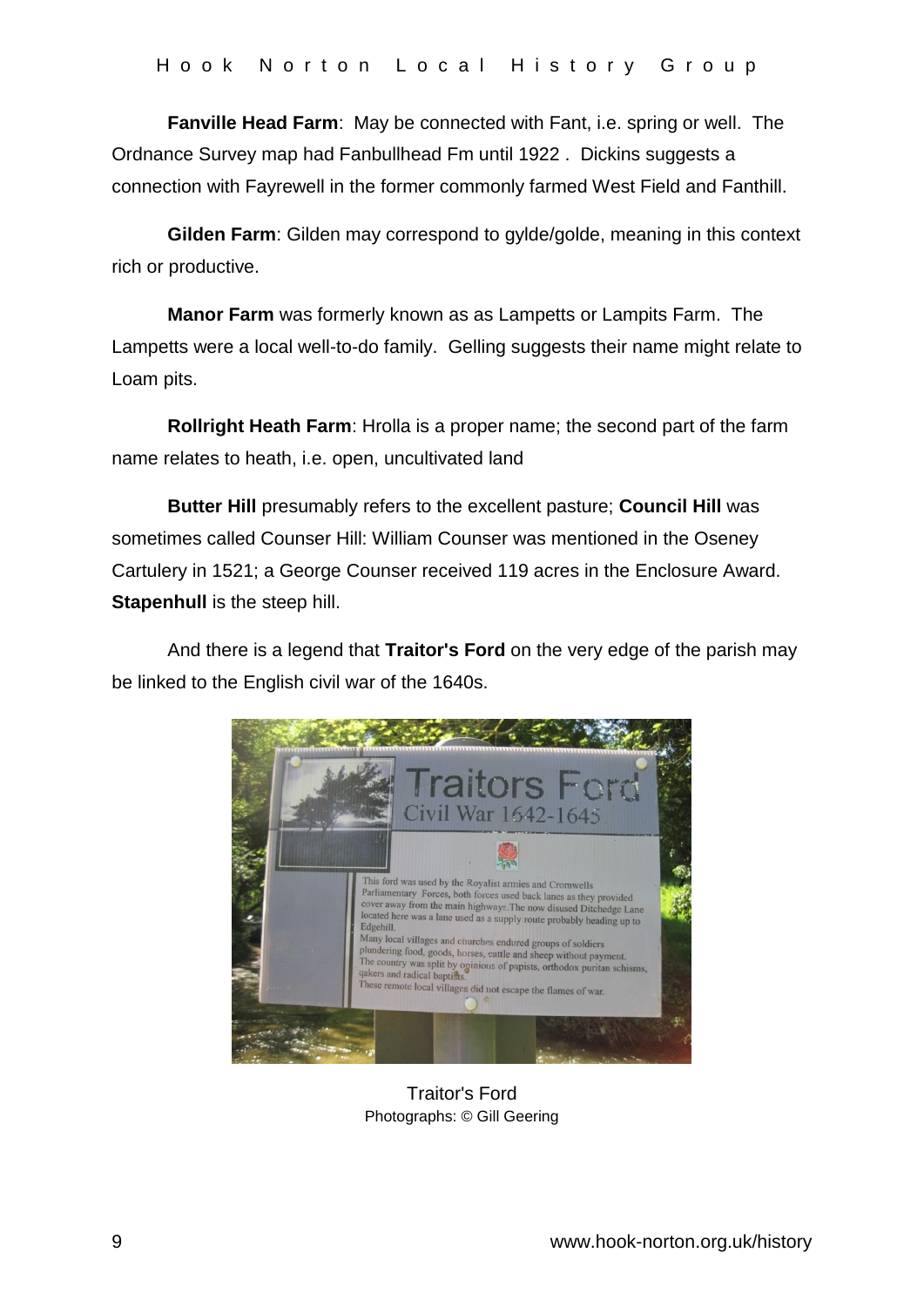**Fanville Head Farm**: May be connected with Fant, i.e. spring or well. The Ordnance Survey map had Fanbullhead Fm until 1922 . Dickins suggests a connection with Fayrewell in the former commonly farmed West Field and Fanthill.

**Gilden Farm**: Gilden may correspond to gylde/golde, meaning in this context rich or productive.

**Manor Farm** was formerly known as as Lampetts or Lampits Farm. The Lampetts were a local well-to-do family. Gelling suggests their name might relate to Loam pits.

**Rollright Heath Farm**: Hrolla is a proper name; the second part of the farm name relates to heath, i.e. open, uncultivated land

**Butter Hill** presumably refers to the excellent pasture; **Council Hill** was sometimes called Counser Hill: William Counser was mentioned in the Oseney Cartulery in 1521; a George Counser received 119 acres in the Enclosure Award. **Stapenhull** is the steep hill.

And there is a legend that **Traitor's Ford** on the very edge of the parish may be linked to the English civil war of the 1640s.



Traitor's Ford Photographs: © Gill Geering